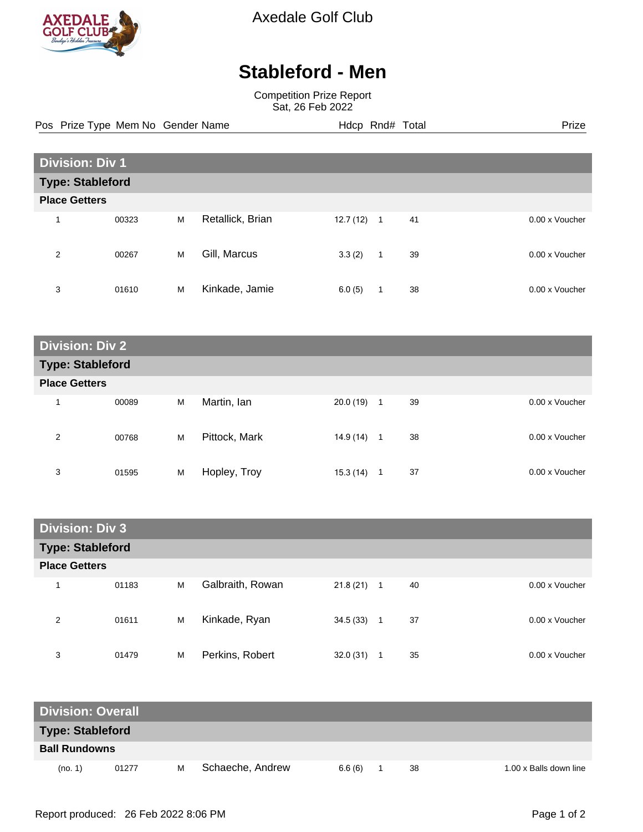

Axedale Golf Club

## **Stableford - Men**

Competition Prize Report Sat, 26 Feb 2022

Pos Prize Type Mem No Gender Name **Hdcp Rnd# Total** Prize Prize

| <b>Division: Div 1</b>  |       |   |                  |           |              |    |                |
|-------------------------|-------|---|------------------|-----------|--------------|----|----------------|
| <b>Type: Stableford</b> |       |   |                  |           |              |    |                |
| <b>Place Getters</b>    |       |   |                  |           |              |    |                |
| 4                       | 00323 | M | Retallick, Brian | 12.7 (12) | -1           | 41 | 0.00 x Voucher |
| 2                       | 00267 | M | Gill, Marcus     | 3.3(2)    | $\mathbf{1}$ | 39 | 0.00 x Voucher |
| 3                       | 01610 | M | Kinkade, Jamie   | 6.0(5)    | 1            | 38 | 0.00 x Voucher |

| <b>Division: Div 2</b>  |       |   |               |           |              |    |                |  |  |
|-------------------------|-------|---|---------------|-----------|--------------|----|----------------|--|--|
| <b>Type: Stableford</b> |       |   |               |           |              |    |                |  |  |
| <b>Place Getters</b>    |       |   |               |           |              |    |                |  |  |
| $\overline{\mathbf{A}}$ | 00089 | M | Martin, lan   | 20.0(19)  | -1           | 39 | 0.00 x Voucher |  |  |
| 2                       | 00768 | M | Pittock, Mark | 14.9(14)  | $\mathbf{1}$ | 38 | 0.00 x Voucher |  |  |
| 3                       | 01595 | M | Hopley, Troy  | 15.3 (14) | 1            | 37 | 0.00 x Voucher |  |  |

| <b>Division: Div 3</b>  |       |   |                  |              |                    |                |
|-------------------------|-------|---|------------------|--------------|--------------------|----------------|
| <b>Type: Stableford</b> |       |   |                  |              |                    |                |
| <b>Place Getters</b>    |       |   |                  |              |                    |                |
| 1                       | 01183 | M | Galbraith, Rowan | $21.8(21)$ 1 | 40                 | 0.00 x Voucher |
| 2                       | 01611 | M | Kinkade, Ryan    | 34.5(33)     | 37<br>$\mathbf{1}$ | 0.00 x Voucher |
| 3                       | 01479 | M | Perkins, Robert  | 32.0(31)     | 35<br>1            | 0.00 x Voucher |

| <b>Division: Overall</b> |       |   |                  |        |    |                        |
|--------------------------|-------|---|------------------|--------|----|------------------------|
| <b>Type: Stableford</b>  |       |   |                  |        |    |                        |
| <b>Ball Rundowns</b>     |       |   |                  |        |    |                        |
| (no. 1)                  | 01277 | м | Schaeche, Andrew | 6.6(6) | 38 | 1.00 x Balls down line |